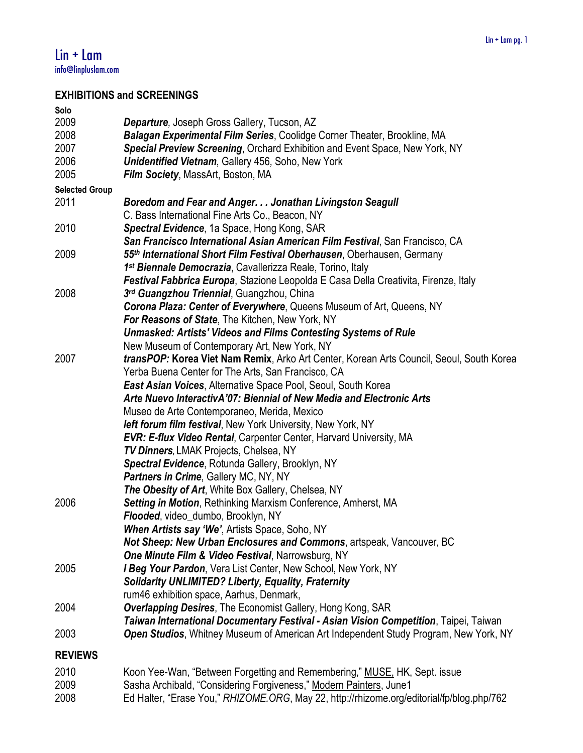# **EXHIBITIONS and SCREENINGS**

| Solo                  |                                                                                              |
|-----------------------|----------------------------------------------------------------------------------------------|
| 2009                  | Departure, Joseph Gross Gallery, Tucson, AZ                                                  |
| 2008                  | Balagan Experimental Film Series, Coolidge Corner Theater, Brookline, MA                     |
| 2007                  | Special Preview Screening, Orchard Exhibition and Event Space, New York, NY                  |
|                       |                                                                                              |
| 2006                  | <b>Unidentified Vietnam, Gallery 456, Soho, New York</b>                                     |
| 2005                  | Film Society, MassArt, Boston, MA                                                            |
| <b>Selected Group</b> |                                                                                              |
| 2011                  | Boredom and Fear and Anger. Jonathan Livingston Seagull                                      |
|                       | C. Bass International Fine Arts Co., Beacon, NY                                              |
| 2010                  | Spectral Evidence, 1a Space, Hong Kong, SAR                                                  |
|                       | San Francisco International Asian American Film Festival, San Francisco, CA                  |
| 2009                  | 55th International Short Film Festival Oberhausen, Oberhausen, Germany                       |
|                       | 1 <sup>st</sup> Biennale Democrazia, Cavallerizza Reale, Torino, Italy                       |
|                       | Festival Fabbrica Europa, Stazione Leopolda E Casa Della Creativita, Firenze, Italy          |
| 2008                  | 3rd Guangzhou Triennial, Guangzhou, China                                                    |
|                       | Corona Plaza: Center of Everywhere, Queens Museum of Art, Queens, NY                         |
|                       |                                                                                              |
|                       | <b>For Reasons of State, The Kitchen, New York, NY</b>                                       |
|                       | <b>Unmasked: Artists' Videos and Films Contesting Systems of Rule</b>                        |
|                       | New Museum of Contemporary Art, New York, NY                                                 |
| 2007                  | transPOP: Korea Viet Nam Remix, Arko Art Center, Korean Arts Council, Seoul, South Korea     |
|                       | Yerba Buena Center for The Arts, San Francisco, CA                                           |
|                       | <b>East Asian Voices, Alternative Space Pool, Seoul, South Korea</b>                         |
|                       | Arte Nuevo InteractivA'07: Biennial of New Media and Electronic Arts                         |
|                       | Museo de Arte Contemporaneo, Merida, Mexico                                                  |
|                       | <b>left forum film festival, New York University, New York, NY</b>                           |
|                       | <b>EVR: E-flux Video Rental, Carpenter Center, Harvard University, MA</b>                    |
|                       | TV Dinners, LMAK Projects, Chelsea, NY                                                       |
|                       | Spectral Evidence, Rotunda Gallery, Brooklyn, NY                                             |
|                       | <b>Partners in Crime, Gallery MC, NY, NY</b>                                                 |
|                       | The Obesity of Art, White Box Gallery, Chelsea, NY                                           |
| 2006                  | Setting in Motion, Rethinking Marxism Conference, Amherst, MA                                |
|                       |                                                                                              |
|                       | Flooded, video_dumbo, Brooklyn, NY                                                           |
|                       | <b>When Artists say 'We', Artists Space, Soho, NY</b>                                        |
|                       | Not Sheep: New Urban Enclosures and Commons, artspeak, Vancouver, BC                         |
|                       | <b>One Minute Film &amp; Video Festival, Narrowsburg, NY</b>                                 |
| 2005                  | I Beg Your Pardon, Vera List Center, New School, New York, NY                                |
|                       | <b>Solidarity UNLIMITED? Liberty, Equality, Fraternity</b>                                   |
|                       | rum46 exhibition space, Aarhus, Denmark,                                                     |
| 2004                  | <b>Overlapping Desires, The Economist Gallery, Hong Kong, SAR</b>                            |
|                       | Taiwan International Documentary Festival - Asian Vision Competition, Taipei, Taiwan         |
| 2003                  | <b>Open Studios</b> , Whitney Museum of American Art Independent Study Program, New York, NY |
|                       |                                                                                              |
| <b>REVIEWS</b>        |                                                                                              |
| 2010                  | Koon Yee-Wan, "Between Forgetting and Remembering," MUSE, HK, Sept. issue                    |
| nnnn                  | Coope Archibold "Considering Fergivenese" Medern Deintere, Junet                             |

2009 Sasha Archibald, "Considering Forgiveness," Modern Painters, June1 2008 Ed Halter, "Erase You," *RHIZOME.ORG*, May 22, http://rhizome.org/editorial/fp/blog.php/762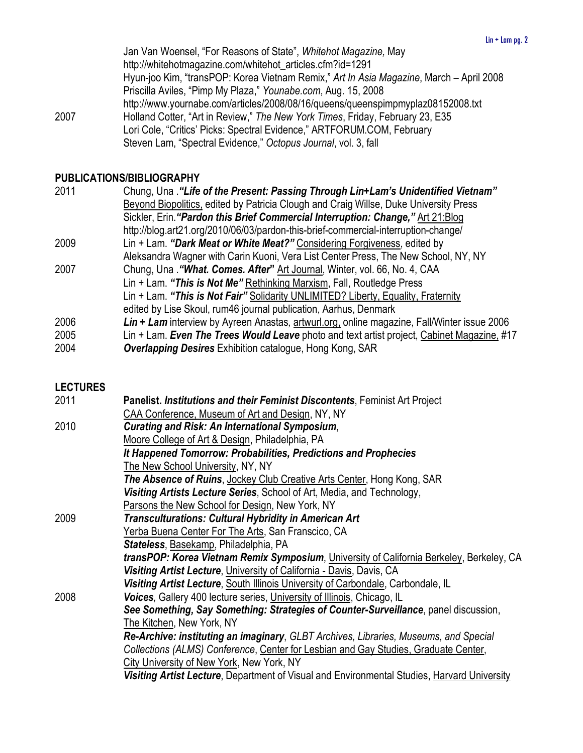Jan Van Woensel, "For Reasons of State", *Whitehot Magazine,* May http://whitehotmagazine.com/whitehot\_articles.cfm?id=1291 Hyun-joo Kim, "transPOP: Korea Vietnam Remix," *Art In Asia Magazine*, March – April 2008 Priscilla Aviles, "Pimp My Plaza," *Younabe.com*, Aug. 15, 2008 http://www.yournabe.com/articles/2008/08/16/queens/queenspimpmyplaz08152008.txt 2007 Holland Cotter, "Art in Review," *The New York Times*, Friday, February 23, E35 Lori Cole, "Critics' Picks: Spectral Evidence," ARTFORUM.COM, February Steven Lam, "Spectral Evidence," *Octopus Journal*, vol. 3, fall

### **PUBLICATIONS/BIBLIOGRAPHY**

| 2011 | Chung, Una . "Life of the Present: Passing Through Lin+Lam's Unidentified Vietnam"          |
|------|---------------------------------------------------------------------------------------------|
|      | Beyond Biopolitics, edited by Patricia Clough and Craig Willse, Duke University Press       |
|      | Sickler, Erin. "Pardon this Brief Commercial Interruption: Change," Art 21: Blog            |
|      | http://blog.art21.org/2010/06/03/pardon-this-brief-commercial-interruption-change/          |
| 2009 | Lin + Lam. "Dark Meat or White Meat?" Considering Forgiveness, edited by                    |
|      | Aleksandra Wagner with Carin Kuoni, Vera List Center Press, The New School, NY, NY          |
| 2007 | Chung, Una . "What. Comes. After" Art Journal, Winter, vol. 66, No. 4, CAA                  |
|      | Lin + Lam. "This is Not Me" Rethinking Marxism, Fall, Routledge Press                       |
|      | Lin + Lam. "This is Not Fair" Solidarity UNLIMITED? Liberty, Equality, Fraternity           |
|      | edited by Lise Skoul, rum46 journal publication, Aarhus, Denmark                            |
| 2006 | Lin + Lam interview by Ayreen Anastas, artwurl.org, online magazine, Fall/Winter issue 2006 |
| 2005 | Lin + Lam. Even The Trees Would Leave photo and text artist project, Cabinet Magazine, #17  |
| 2004 | <b>Overlapping Desires</b> Exhibition catalogue, Hong Kong, SAR                             |
|      |                                                                                             |

#### **LECTURES**

| 2011 | Panelist. Institutions and their Feminist Discontents, Feminist Art Project                         |
|------|-----------------------------------------------------------------------------------------------------|
|      | CAA Conference, Museum of Art and Design, NY, NY                                                    |
| 2010 | <b>Curating and Risk: An International Symposium,</b>                                               |
|      | Moore College of Art & Design, Philadelphia, PA                                                     |
|      | It Happened Tomorrow: Probabilities, Predictions and Prophecies                                     |
|      | The New School University, NY, NY                                                                   |
|      | The Absence of Ruins, Jockey Club Creative Arts Center, Hong Kong, SAR                              |
|      | Visiting Artists Lecture Series, School of Art, Media, and Technology,                              |
|      | Parsons the New School for Design, New York, NY                                                     |
| 2009 | Transculturations: Cultural Hybridity in American Art                                               |
|      | Yerba Buena Center For The Arts, San Franscico, CA                                                  |
|      | Stateless, Basekamp, Philadelphia, PA                                                               |
|      | transPOP: Korea Vietnam Remix Symposium, University of California Berkeley, Berkeley, CA            |
|      | Visiting Artist Lecture, University of California - Davis, Davis, CA                                |
|      | Visiting Artist Lecture, South Illinois University of Carbondale, Carbondale, IL                    |
| 2008 | <b>Voices, Gallery 400 lecture series, University of Illinois, Chicago, IL</b>                      |
|      | See Something, Say Something: Strategies of Counter-Surveillance, panel discussion,                 |
|      | The Kitchen, New York, NY                                                                           |
|      | <b>Re-Archive: instituting an imaginary, GLBT Archives, Libraries, Museums, and Special</b>         |
|      | Collections (ALMS) Conference, Center for Lesbian and Gay Studies, Graduate Center,                 |
|      | City University of New York, New York, NY                                                           |
|      | <b>Visiting Artist Lecture</b> , Department of Visual and Environmental Studies, Harvard University |